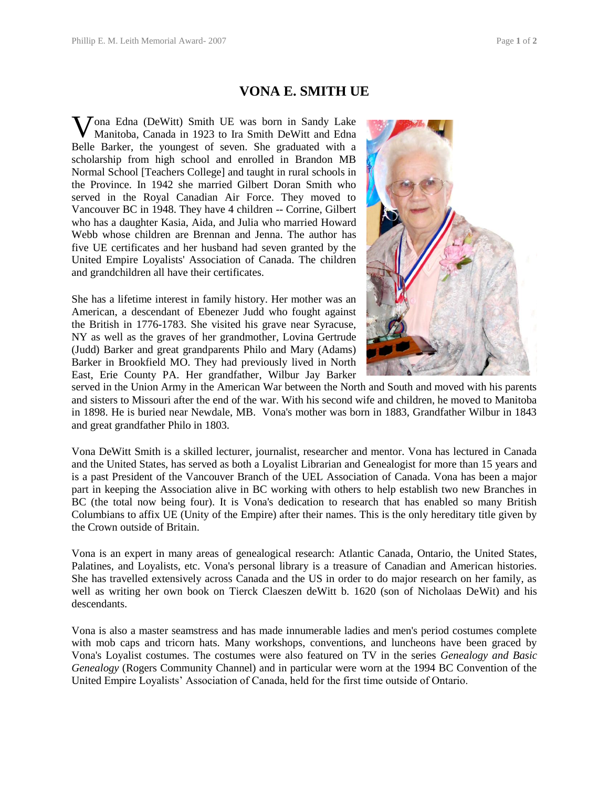## **VONA E. SMITH UE**

Vona Edna (DeWitt) Smith UE was born in Sandy Lake<br>Manitoba, Canada in 1923 to Ira Smith DeWitt and Edna Manitoba, Canada in 1923 to Ira Smith DeWitt and Edna Belle Barker, the youngest of seven. She graduated with a scholarship from high school and enrolled in Brandon MB Normal School [Teachers College] and taught in rural schools in the Province. In 1942 she married Gilbert Doran Smith who served in the Royal Canadian Air Force. They moved to Vancouver BC in 1948. They have 4 children -- Corrine, Gilbert who has a daughter Kasia, Aida, and Julia who married Howard Webb whose children are Brennan and Jenna. The author has five UE certificates and her husband had seven granted by the United Empire Loyalists' Association of Canada. The children and grandchildren all have their certificates.

She has a lifetime interest in family history. Her mother was an American, a descendant of Ebenezer Judd who fought against the British in 1776-1783. She visited his grave near Syracuse, NY as well as the graves of her grandmother, Lovina Gertrude (Judd) Barker and great grandparents Philo and Mary (Adams) Barker in Brookfield MO. They had previously lived in North East, Erie County PA. Her grandfather, Wilbur Jay Barker



served in the Union Army in the American War between the North and South and moved with his parents and sisters to Missouri after the end of the war. With his second wife and children, he moved to Manitoba in 1898. He is buried near Newdale, MB. Vona's mother was born in 1883, Grandfather Wilbur in 1843 and great grandfather Philo in 1803.

Vona DeWitt Smith is a skilled lecturer, journalist, researcher and mentor. Vona has lectured in Canada and the United States, has served as both a Loyalist Librarian and Genealogist for more than 15 years and is a past President of the Vancouver Branch of the UEL Association of Canada. Vona has been a major part in keeping the Association alive in BC working with others to help establish two new Branches in BC (the total now being four). It is Vona's dedication to research that has enabled so many British Columbians to affix UE (Unity of the Empire) after their names. This is the only hereditary title given by the Crown outside of Britain.

Vona is an expert in many areas of genealogical research: Atlantic Canada, Ontario, the United States, Palatines, and Loyalists, etc. Vona's personal library is a treasure of Canadian and American histories. She has travelled extensively across Canada and the US in order to do major research on her family, as well as writing her own book on Tierck Claeszen deWitt b. 1620 (son of Nicholaas DeWit) and his descendants.

Vona is also a master seamstress and has made innumerable ladies and men's period costumes complete with mob caps and tricorn hats. Many workshops, conventions, and luncheons have been graced by Vona's Loyalist costumes. The costumes were also featured on TV in the series *Genealogy and Basic Genealogy* (Rogers Community Channel) and in particular were worn at the 1994 BC Convention of the United Empire Loyalists' Association of Canada, held for the first time outside of Ontario.